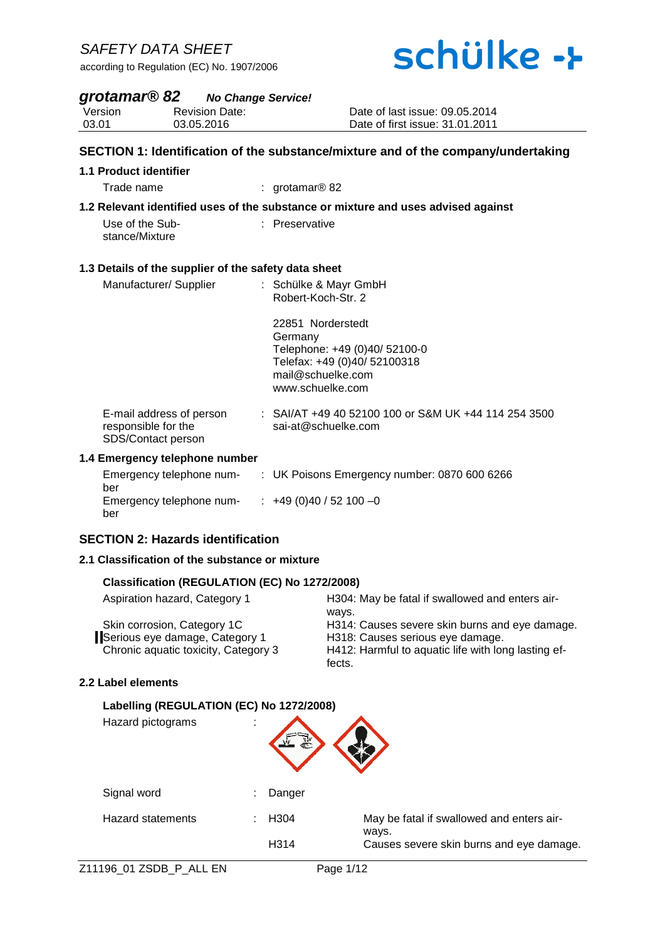# schülke ->

### *grotamar® 82 No Change Service!*

**Version** Revision Date:

03.01 03.05.2016

#### Date of last issue: 09.05.2014 Date of first issue: 31.01.2011

### **SECTION 1: Identification of the substance/mixture and of the company/undertaking 1.1 Product identifier** Trade name : grotamar® 82 **1.2 Relevant identified uses of the substance or mixture and uses advised against** Use of the Substance/Mixture : Preservative **1.3 Details of the supplier of the safety data sheet** Manufacturer/ Supplier : Schülke & Mayr GmbH Robert-Koch-Str. 2 22851 Norderstedt **Germany** Telephone: +49 (0)40/ 52100-0 Telefax: +49 (0)40/ 52100318 mail@schuelke.com www.schuelke.com E-mail address of person responsible for the SDS/Contact person : SAI/AT +49 40 52100 100 or S&M UK +44 114 254 3500 sai-at@schuelke.com **1.4 Emergency telephone number**

| Emergency telephone num- | : UK Poisons Emergency number: 0870 600 6266 |
|--------------------------|----------------------------------------------|
| ber                      |                                              |
| Emergency telephone num- | $\div$ +49 (0)40 / 52 100 -0                 |
| ber                      |                                              |

### **SECTION 2: Hazards identification**

#### **2.1 Classification of the substance or mixture**

#### **Classification (REGULATION (EC) No 1272/2008)**

| Aspiration hazard, Category 1        | H304: May be fatal if swallowed and enters air-     |
|--------------------------------------|-----------------------------------------------------|
|                                      | ways.                                               |
| Skin corrosion, Category 1C          | H314: Causes severe skin burns and eye damage.      |
| Serious eye damage, Category 1       | H318: Causes serious eye damage.                    |
| Chronic aquatic toxicity, Category 3 | H412: Harmful to aquatic life with long lasting ef- |
|                                      | fects.                                              |

#### **2.2 Label elements**

 $\overline{\phantom{a}}$ 

#### **Labelling (REGULATION (EC) No 1272/2008)**

Hazard pictograms : Signal word : Danger Hazard statements : H304 May be fatal if swallowed and enters airways. H314 Causes severe skin burns and eye damage.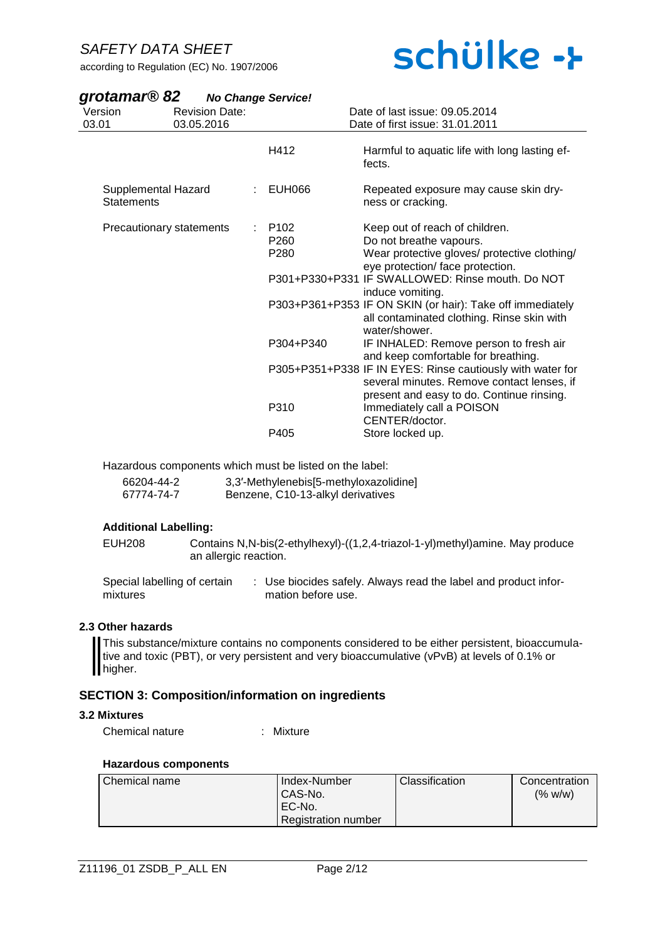according to Regulation (EC) No. 1907/2006

# schülke ->

| grotamar <sup>®</sup> 82                 | <b>No Change Service!</b> |                                                                   |                                                                                                                                                                                                                                                                                                                                                                                                                                                                                                                                                                                                                          |
|------------------------------------------|---------------------------|-------------------------------------------------------------------|--------------------------------------------------------------------------------------------------------------------------------------------------------------------------------------------------------------------------------------------------------------------------------------------------------------------------------------------------------------------------------------------------------------------------------------------------------------------------------------------------------------------------------------------------------------------------------------------------------------------------|
| Version                                  | <b>Revision Date:</b>     |                                                                   | Date of last issue: 09.05.2014                                                                                                                                                                                                                                                                                                                                                                                                                                                                                                                                                                                           |
| 03.01                                    | 03.05.2016                |                                                                   | Date of first issue: 31.01.2011                                                                                                                                                                                                                                                                                                                                                                                                                                                                                                                                                                                          |
|                                          |                           | H412                                                              | Harmful to aquatic life with long lasting ef-<br>fects.                                                                                                                                                                                                                                                                                                                                                                                                                                                                                                                                                                  |
| Supplemental Hazard<br><b>Statements</b> |                           | EUH066                                                            | Repeated exposure may cause skin dry-<br>ness or cracking.                                                                                                                                                                                                                                                                                                                                                                                                                                                                                                                                                               |
| <b>Precautionary statements</b>          |                           | P <sub>102</sub><br>P <sub>260</sub><br>P280<br>P304+P340<br>P310 | Keep out of reach of children.<br>Do not breathe vapours.<br>Wear protective gloves/ protective clothing/<br>eye protection/ face protection.<br>P301+P330+P331 IF SWALLOWED: Rinse mouth. Do NOT<br>induce vomiting.<br>P303+P361+P353 IF ON SKIN (or hair): Take off immediately<br>all contaminated clothing. Rinse skin with<br>water/shower.<br>IF INHALED: Remove person to fresh air<br>and keep comfortable for breathing.<br>P305+P351+P338 IF IN EYES: Rinse cautiously with water for<br>several minutes. Remove contact lenses, if<br>present and easy to do. Continue rinsing.<br>Immediately call a POISON |
|                                          |                           | P405                                                              | CENTER/doctor.<br>Store locked up.                                                                                                                                                                                                                                                                                                                                                                                                                                                                                                                                                                                       |

Hazardous components which must be listed on the label:

| 66204-44-2 | 3,3'-Methylenebis[5-methyloxazolidine] |
|------------|----------------------------------------|
| 67774-74-7 | Benzene, C10-13-alkyl derivatives      |

#### **Additional Labelling:**

EUH208 Contains N,N-bis(2-ethylhexyl)-((1,2,4-triazol-1-yl)methyl)amine. May produce an allergic reaction.

Special labelling of certain mixtures : Use biocides safely. Always read the label and product information before use.

#### **2.3 Other hazards**

This substance/mixture contains no components considered to be either persistent, bioaccumulative and toxic (PBT), or very persistent and very bioaccumulative (vPvB) at levels of 0.1% or higher.

#### **SECTION 3: Composition/information on ingredients**

#### **3.2 Mixtures**

Chemical nature : Mixture

#### **Hazardous components**

| l Chemical name | Index-Number               | <b>Classification</b> | Concentration |
|-----------------|----------------------------|-----------------------|---------------|
|                 | CAS-No.                    |                       | (% w/w)       |
|                 | EC-No.                     |                       |               |
|                 | <b>Registration number</b> |                       |               |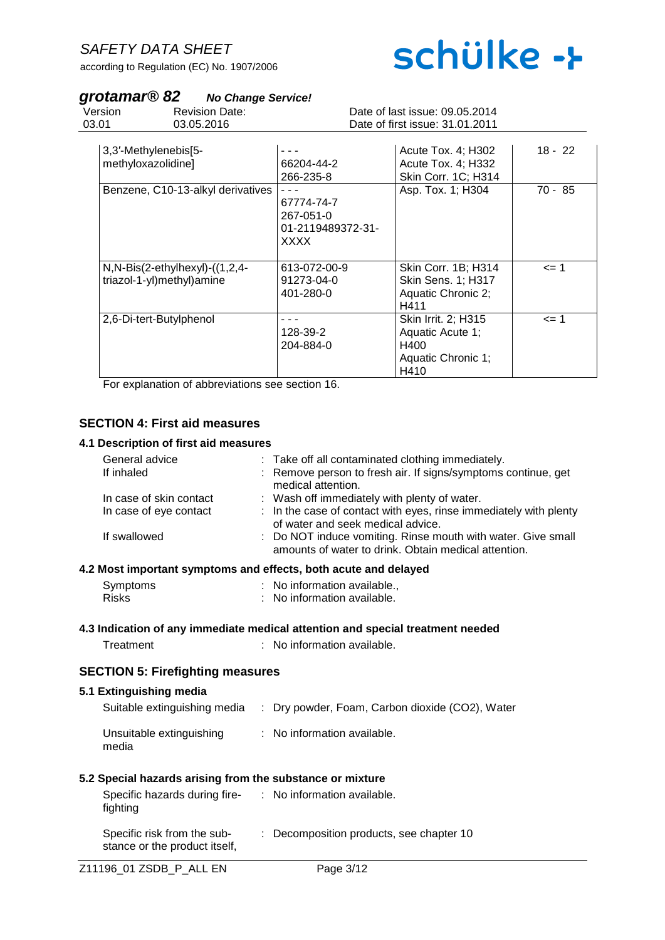according to Regulation (EC) No. 1907/2006

# schülke ->

## *grotamar® 82 No Change Service!*

| Version<br>03.01 | <b>Revision Date:</b><br>03.05.2016                           |                                                             | Date of last issue: 09.05.2014<br>Date of first issue: 31.01.2011             |           |
|------------------|---------------------------------------------------------------|-------------------------------------------------------------|-------------------------------------------------------------------------------|-----------|
|                  | 3,3'-Methylenebis[5-<br>methyloxazolidine]                    | 66204-44-2<br>266-235-8                                     | Acute Tox. 4; H302<br>Acute Tox. 4; H332<br>Skin Corr. 1C; H314               | $18 - 22$ |
|                  | Benzene, C10-13-alkyl derivatives                             | 67774-74-7<br>267-051-0<br>01-2119489372-31-<br><b>XXXX</b> | Asp. Tox. 1; H304                                                             | $70 - 85$ |
|                  | $N, N-Bis(2-ethylhexyl)-(1,2,4-$<br>triazol-1-yl)methyl)amine | 613-072-00-9<br>91273-04-0<br>401-280-0                     | Skin Corr. 1B; H314<br>Skin Sens. 1; H317<br>Aquatic Chronic 2;<br>H411       | <= 1      |
|                  | 2,6-Di-tert-Butylphenol                                       | 128-39-2<br>204-884-0                                       | Skin Irrit. 2; H315<br>Aquatic Acute 1;<br>H400<br>Aquatic Chronic 1;<br>H410 | $= 1$     |

For explanation of abbreviations see section 16.

## **SECTION 4: First aid measures**

#### **4.1 Description of first aid measures**

| General advice<br>If inhaled                      |                                                              | : Take off all contaminated clothing immediately.<br>: Remove person to fresh air. If signs/symptoms continue, get                                        |
|---------------------------------------------------|--------------------------------------------------------------|-----------------------------------------------------------------------------------------------------------------------------------------------------------|
| In case of skin contact<br>In case of eye contact |                                                              | medical attention.<br>: Wash off immediately with plenty of water.<br>: In the case of contact with eyes, rinse immediately with plenty                   |
| If swallowed                                      |                                                              | of water and seek medical advice.<br>: Do NOT induce vomiting. Rinse mouth with water. Give small<br>amounts of water to drink. Obtain medical attention. |
|                                                   |                                                              | 4.2 Most important symptoms and effects, both acute and delayed                                                                                           |
| Symptoms<br><b>Risks</b>                          |                                                              | : No information available.,<br>: No information available.                                                                                               |
|                                                   |                                                              | 4.3 Indication of any immediate medical attention and special treatment needed                                                                            |
| Treatment                                         |                                                              | : No information available.                                                                                                                               |
|                                                   | <b>SECTION 5: Firefighting measures</b>                      |                                                                                                                                                           |
| 5.1 Extinguishing media                           |                                                              |                                                                                                                                                           |
|                                                   |                                                              | Suitable extinguishing media : Dry powder, Foam, Carbon dioxide (CO2), Water                                                                              |
| media                                             | Unsuitable extinguishing                                     | : No information available.                                                                                                                               |
|                                                   |                                                              | 5.2 Special hazards arising from the substance or mixture                                                                                                 |
| fighting                                          |                                                              | Specific hazards during fire- : No information available.                                                                                                 |
|                                                   | Specific risk from the sub-<br>stance or the product itself, | : Decomposition products, see chapter 10                                                                                                                  |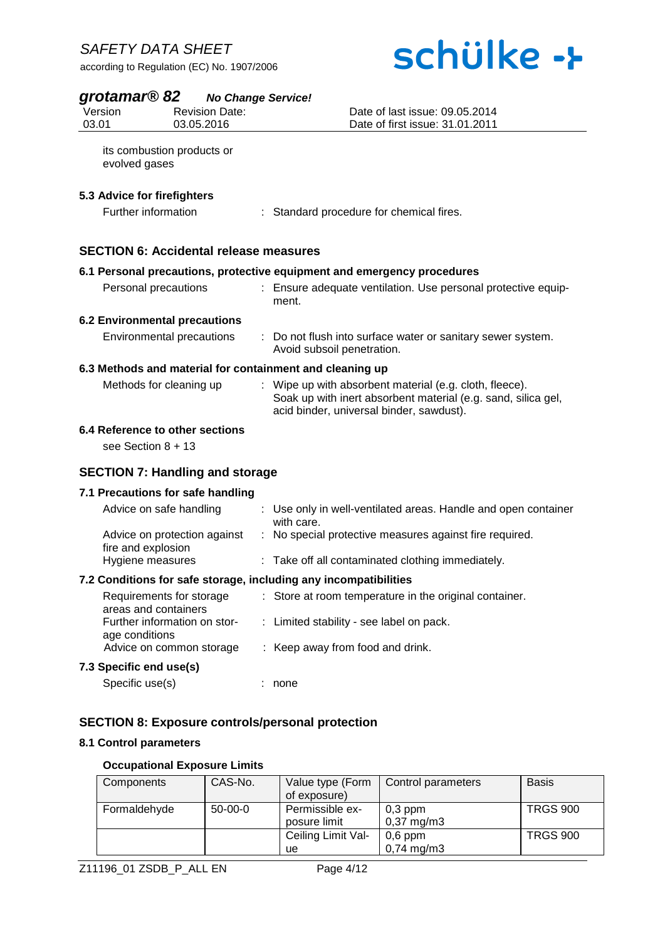# schülke ->

# *grotamar® 82 No Change Service!*

|                     | $\mathbf{Q}$ rotal narrow o $\mathbf{Z}$ no Change Service! |                                                                                                                                                                      |
|---------------------|-------------------------------------------------------------|----------------------------------------------------------------------------------------------------------------------------------------------------------------------|
| Version             | <b>Revision Date:</b>                                       | Date of last issue: 09.05.2014                                                                                                                                       |
| 03.01               | 03.05.2016                                                  | Date of first issue: 31.01.2011                                                                                                                                      |
| evolved gases       | its combustion products or                                  |                                                                                                                                                                      |
|                     | 5.3 Advice for firefighters                                 |                                                                                                                                                                      |
| Further information |                                                             | : Standard procedure for chemical fires.                                                                                                                             |
|                     | <b>SECTION 6: Accidental release measures</b>               |                                                                                                                                                                      |
|                     |                                                             | 6.1 Personal precautions, protective equipment and emergency procedures                                                                                              |
|                     | Personal precautions                                        | : Ensure adequate ventilation. Use personal protective equip-<br>ment.                                                                                               |
|                     | <b>6.2 Environmental precautions</b>                        |                                                                                                                                                                      |
|                     | Environmental precautions                                   | : Do not flush into surface water or sanitary sewer system.<br>Avoid subsoil penetration.                                                                            |
|                     |                                                             | 6.3 Methods and material for containment and cleaning up                                                                                                             |
|                     | Methods for cleaning up                                     | : Wipe up with absorbent material (e.g. cloth, fleece).<br>Soak up with inert absorbent material (e.g. sand, silica gel,<br>acid binder, universal binder, sawdust). |
|                     | 6.4 Reference to other sections                             |                                                                                                                                                                      |

see Section 8 + 13

#### **SECTION 7: Handling and storage**

#### **7.1 Precautions for safe handling**

| Advice on safe handling                                          | : Use only in well-ventilated areas. Handle and open container<br>with care. |  |  |
|------------------------------------------------------------------|------------------------------------------------------------------------------|--|--|
| Advice on protection against<br>fire and explosion               | : No special protective measures against fire required.                      |  |  |
| Hygiene measures                                                 | : Take off all contaminated clothing immediately.                            |  |  |
| 7.2 Conditions for safe storage, including any incompatibilities |                                                                              |  |  |

| Requirements for storage<br>areas and containers | : Store at room temperature in the original container. |
|--------------------------------------------------|--------------------------------------------------------|
| Further information on stor-<br>age conditions   | : Limited stability - see label on pack.               |
| Advice on common storage                         | : Keep away from food and drink.                       |
| 7.3 Specific end use(s)                          |                                                        |
| Specific use(s)                                  | none                                                   |

## **SECTION 8: Exposure controls/personal protection**

#### **8.1 Control parameters**

#### **Occupational Exposure Limits**

| Components   | CAS-No.   | Value type (Form   | Control parameters    | <b>Basis</b>    |
|--------------|-----------|--------------------|-----------------------|-----------------|
|              |           | of exposure)       |                       |                 |
| Formaldehyde | $50-00-0$ | Permissible ex-    | $0,3$ ppm             | <b>TRGS 900</b> |
|              |           | posure limit       | $0,37 \text{ mg/m}$ 3 |                 |
|              |           | Ceiling Limit Val- | $0,6$ ppm             | <b>TRGS 900</b> |
|              |           | ue                 | $0,74 \text{ mg/m}$ 3 |                 |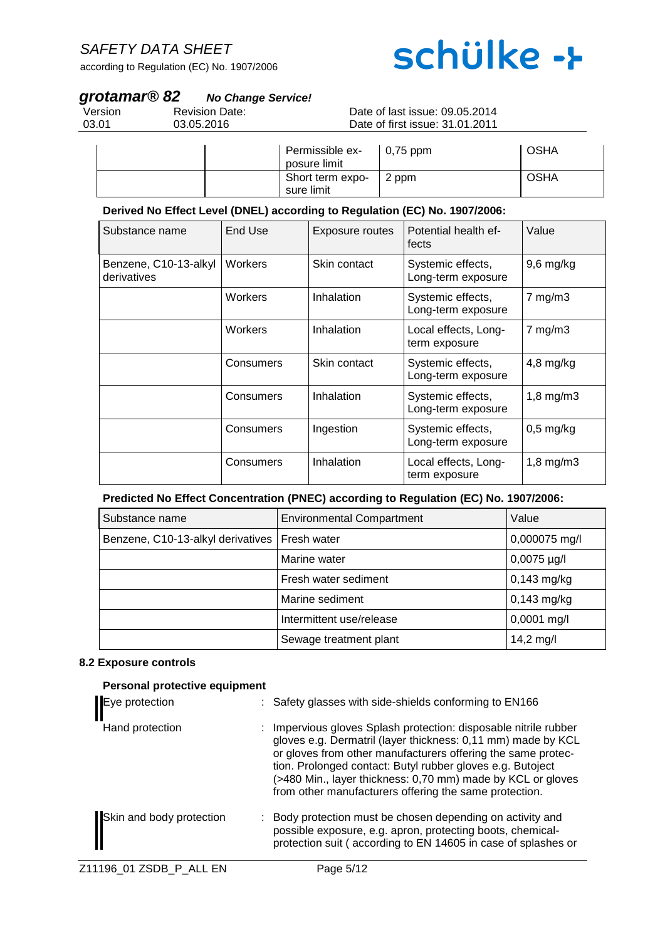according to Regulation (EC) No. 1907/2006

# schülke ->

## *grotamar® 82 No Change Service!*

| Version |  |
|---------|--|
| 03.01   |  |

Revision Date: 03.05.2016

#### Date of last issue: 09.05.2014 Date of first issue: 31.01.2011

| Permissible ex-<br>posure limit | $\vert$ 0,75 ppm | <b>OSHA</b> |
|---------------------------------|------------------|-------------|
| Short term expo-<br>sure limit  | 2 ppm            | <b>OSHA</b> |

#### **Derived No Effect Level (DNEL) according to Regulation (EC) No. 1907/2006:**

| Substance name                       | End Use   | <b>Exposure routes</b> | Potential health ef-<br>fects           | Value          |
|--------------------------------------|-----------|------------------------|-----------------------------------------|----------------|
| Benzene, C10-13-alkyl<br>derivatives | Workers   | Skin contact           | Systemic effects,<br>Long-term exposure | $9,6$ mg/kg    |
|                                      | Workers   | Inhalation             | Systemic effects,<br>Long-term exposure | $7$ mg/m $3$   |
|                                      | Workers   | Inhalation             | Local effects, Long-<br>term exposure   | $7$ mg/m $3$   |
|                                      | Consumers | Skin contact           | Systemic effects,<br>Long-term exposure | $4,8$ mg/kg    |
|                                      | Consumers | Inhalation             | Systemic effects,<br>Long-term exposure | $1,8$ mg/m $3$ |
|                                      | Consumers | Ingestion              | Systemic effects,<br>Long-term exposure | $0,5$ mg/kg    |
|                                      | Consumers | Inhalation             | Local effects, Long-<br>term exposure   | $1,8$ mg/m $3$ |

#### **Predicted No Effect Concentration (PNEC) according to Regulation (EC) No. 1907/2006:**

| Substance name                                  | <b>Environmental Compartment</b> | Value            |
|-------------------------------------------------|----------------------------------|------------------|
| Benzene, C10-13-alkyl derivatives   Fresh water |                                  | 0,000075 mg/l    |
|                                                 | Marine water                     | $0,0075 \mu g/l$ |
|                                                 | Fresh water sediment             | $0,143$ mg/kg    |
|                                                 | Marine sediment                  | $0,143$ mg/kg    |
|                                                 | Intermittent use/release         | $0,0001$ mg/l    |
|                                                 | Sewage treatment plant           | 14,2 mg/l        |

#### **8.2 Exposure controls**

| Personal protective equipment |                                                                                                                                                                                                                                                                                                                                                                                         |
|-------------------------------|-----------------------------------------------------------------------------------------------------------------------------------------------------------------------------------------------------------------------------------------------------------------------------------------------------------------------------------------------------------------------------------------|
| Eye protection                | : Safety glasses with side-shields conforming to EN166                                                                                                                                                                                                                                                                                                                                  |
| Hand protection               | : Impervious gloves Splash protection: disposable nitrile rubber<br>gloves e.g. Dermatril (layer thickness: 0,11 mm) made by KCL<br>or gloves from other manufacturers offering the same protec-<br>tion. Prolonged contact: Butyl rubber gloves e.g. Butoject<br>(>480 Min., layer thickness: 0,70 mm) made by KCL or gloves<br>from other manufacturers offering the same protection. |
| Skin and body protection      | : Body protection must be chosen depending on activity and<br>possible exposure, e.g. apron, protecting boots, chemical-<br>protection suit (according to EN 14605 in case of splashes or                                                                                                                                                                                               |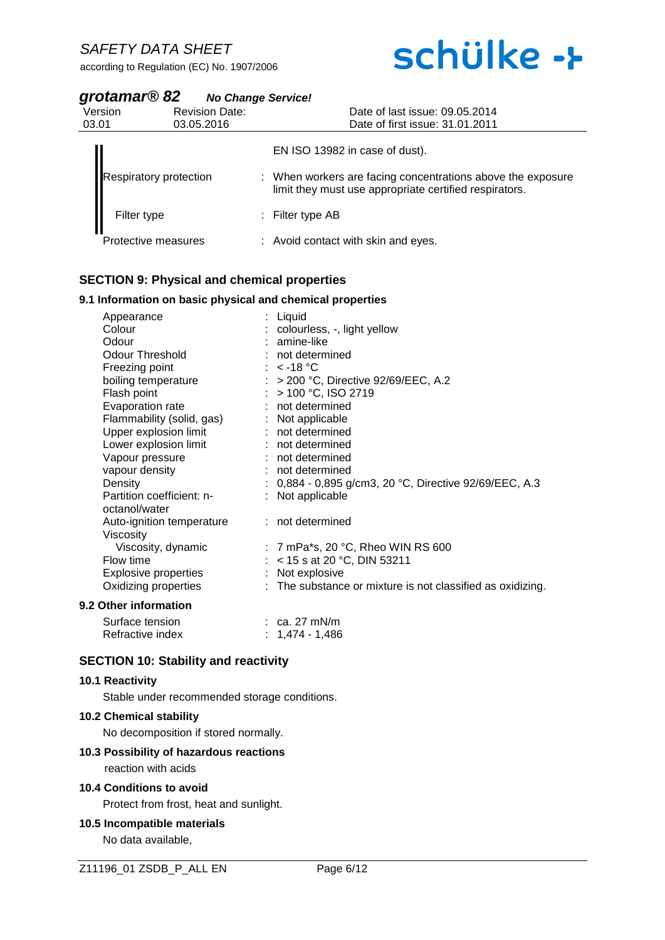# schülke ->

| grotamar® 82 | <b>No Change Service!</b> |
|--------------|---------------------------|
|--------------|---------------------------|

| Version<br>03.01 | <b>Revision Date:</b><br>03.05.2016 | Date of last issue: 09.05.2014<br>Date of first issue: 31.01.2011                                                     |
|------------------|-------------------------------------|-----------------------------------------------------------------------------------------------------------------------|
|                  |                                     | EN ISO 13982 in case of dust).                                                                                        |
|                  | <b>Respiratory protection</b>       | : When workers are facing concentrations above the exposure<br>limit they must use appropriate certified respirators. |
|                  | Filter type                         | : Filter type $AB$                                                                                                    |
|                  | Protective measures                 | : Avoid contact with skin and eyes.                                                                                   |

### **SECTION 9: Physical and chemical properties**

#### **9.1 Information on basic physical and chemical properties**

| Appearance                  | : Liquid                                                   |
|-----------------------------|------------------------------------------------------------|
| Colour                      | : colourless, -, light yellow                              |
| Odour                       | $:$ amine-like                                             |
| Odour Threshold             | : not determined                                           |
| Freezing point              | : $<$ -18 °C                                               |
| boiling temperature         | $:$ > 200 °C, Directive 92/69/EEC, A.2                     |
| Flash point                 | $:$ > 100 °C, ISO 2719                                     |
| Evaporation rate            | : not determined                                           |
| Flammability (solid, gas)   | $:$ Not applicable                                         |
| Upper explosion limit       | : not determined                                           |
| Lower explosion limit       | $:$ not determined                                         |
| Vapour pressure             | : not determined                                           |
| vapour density              | : not determined                                           |
| Density                     | : $0,884 - 0,895$ g/cm3, 20 °C, Directive 92/69/EEC, A.3   |
| Partition coefficient: n-   | : Not applicable                                           |
| octanol/water               |                                                            |
| Auto-ignition temperature   | $:$ not determined                                         |
| Viscosity                   |                                                            |
| Viscosity, dynamic          | : 7 mPa*s, 20 $^{\circ}$ C, Rheo WIN RS 600                |
| Flow time                   | : < 15 s at 20 °C, DIN 53211                               |
| <b>Explosive properties</b> | : Not explosive                                            |
| Oxidizing properties        | : The substance or mixture is not classified as oxidizing. |
| 9.2 Other information       |                                                            |
| Surface tension             | $\therefore$ ca. 27 mN/m                                   |

| ווטופווסט פווטוו | UQ. 41 IIII VIII |
|------------------|------------------|
| Refractive index | : 1,474-1,486    |

#### **SECTION 10: Stability and reactivity**

#### **10.1 Reactivity**

Stable under recommended storage conditions.

### **10.2 Chemical stability**

No decomposition if stored normally.

#### **10.3 Possibility of hazardous reactions**

reaction with acids

### **10.4 Conditions to avoid**

Protect from frost, heat and sunlight.

#### **10.5 Incompatible materials**

No data available,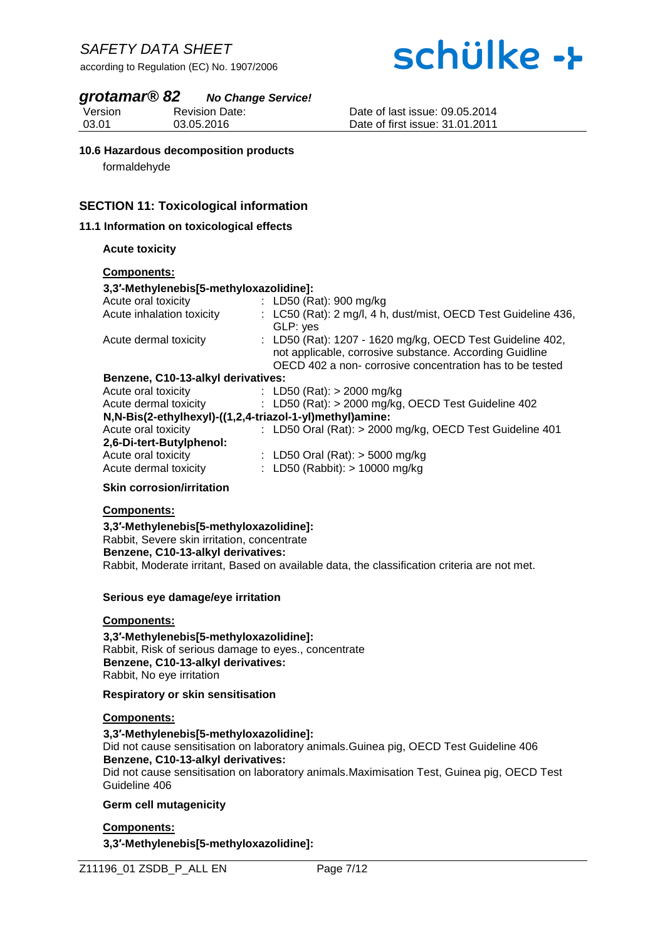# schülke ->

### *grotamar® 82 No Change Service!*

Version 03.01 Revision Date: 03.05.2016

Date of last issue: 09.05.2014 Date of first issue: 31.01.2011

#### **10.6 Hazardous decomposition products**

formaldehyde

#### **SECTION 11: Toxicological information**

#### **11.1 Information on toxicological effects**

#### **Acute toxicity**

#### **Components:**

#### **3,3′-Methylenebis[5-methyloxazolidine]:**

| Acute oral toxicity                                      | : LD50 (Rat): 900 mg/kg                                                                                                                                                          |
|----------------------------------------------------------|----------------------------------------------------------------------------------------------------------------------------------------------------------------------------------|
| Acute inhalation toxicity                                | : LC50 (Rat): 2 mg/l, 4 h, dust/mist, OECD Test Guideline 436,                                                                                                                   |
|                                                          | GLP: yes                                                                                                                                                                         |
| Acute dermal toxicity                                    | : LD50 (Rat): 1207 - 1620 mg/kg, OECD Test Guideline 402,<br>not applicable, corrosive substance. According Guidline<br>OECD 402 a non- corrosive concentration has to be tested |
| Benzene, C10-13-alkyl derivatives:                       |                                                                                                                                                                                  |
|                                                          |                                                                                                                                                                                  |
| Acute oral toxicity                                      | : LD50 (Rat): $>$ 2000 mg/kg                                                                                                                                                     |
| Acute dermal toxicity                                    | : LD50 (Rat): > 2000 mg/kg, OECD Test Guideline 402                                                                                                                              |
| N,N-Bis(2-ethylhexyl)-((1,2,4-triazol-1-yl)methyl)amine: |                                                                                                                                                                                  |
| Acute oral toxicity                                      | : LD50 Oral (Rat): > 2000 mg/kg, OECD Test Guideline 401                                                                                                                         |
| 2,6-Di-tert-Butylphenol:                                 |                                                                                                                                                                                  |
| Acute oral toxicity                                      | : LD50 Oral (Rat): $>$ 5000 mg/kg                                                                                                                                                |
| Acute dermal toxicity                                    | : LD50 (Rabbit): $> 10000$ mg/kg                                                                                                                                                 |
|                                                          |                                                                                                                                                                                  |

#### **Skin corrosion/irritation**

#### **Components:**

**3,3′-Methylenebis[5-methyloxazolidine]:** Rabbit, Severe skin irritation, concentrate **Benzene, C10-13-alkyl derivatives:** Rabbit, Moderate irritant, Based on available data, the classification criteria are not met.

#### **Serious eye damage/eye irritation**

#### **Components:**

**3,3′-Methylenebis[5-methyloxazolidine]:** Rabbit, Risk of serious damage to eyes., concentrate **Benzene, C10-13-alkyl derivatives:** Rabbit, No eye irritation

#### **Respiratory or skin sensitisation**

#### **Components:**

**3,3′-Methylenebis[5-methyloxazolidine]:** Did not cause sensitisation on laboratory animals.Guinea pig, OECD Test Guideline 406 **Benzene, C10-13-alkyl derivatives:** Did not cause sensitisation on laboratory animals.Maximisation Test, Guinea pig, OECD Test Guideline 406

#### **Germ cell mutagenicity**

#### **Components:**

**3,3′-Methylenebis[5-methyloxazolidine]:**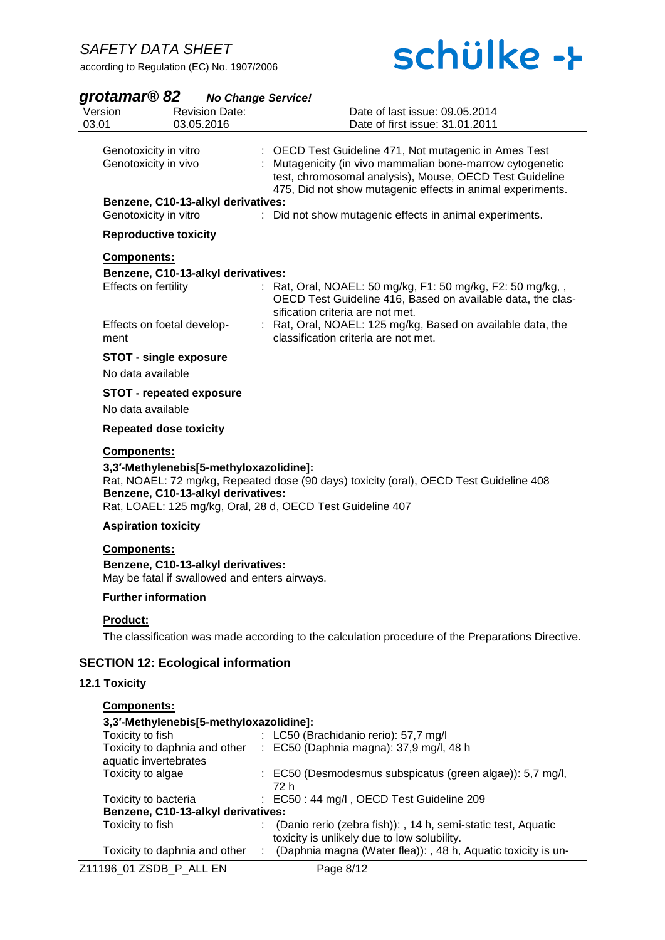

# *grotamar® 82 No Change Service!*

| Version<br>03.01                | <b>Revision Date:</b><br>03.05.2016                                                               | Date of last issue: 09.05.2014<br>Date of first issue: 31.01.2011                                                                                                                                                                           |
|---------------------------------|---------------------------------------------------------------------------------------------------|---------------------------------------------------------------------------------------------------------------------------------------------------------------------------------------------------------------------------------------------|
|                                 | Genotoxicity in vitro<br>Genotoxicity in vivo                                                     | : OECD Test Guideline 471, Not mutagenic in Ames Test<br>: Mutagenicity (in vivo mammalian bone-marrow cytogenetic<br>test, chromosomal analysis), Mouse, OECD Test Guideline<br>475, Did not show mutagenic effects in animal experiments. |
|                                 | Benzene, C10-13-alkyl derivatives:<br>Genotoxicity in vitro                                       | : Did not show mutagenic effects in animal experiments.                                                                                                                                                                                     |
|                                 | <b>Reproductive toxicity</b>                                                                      |                                                                                                                                                                                                                                             |
| <b>Components:</b>              |                                                                                                   |                                                                                                                                                                                                                                             |
|                                 | Benzene, C10-13-alkyl derivatives:<br>Effects on fertility                                        | Rat, Oral, NOAEL: 50 mg/kg, F1: 50 mg/kg, F2: 50 mg/kg,,<br>OECD Test Guideline 416, Based on available data, the clas-<br>sification criteria are not met.                                                                                 |
| ment                            | Effects on foetal develop-                                                                        | : Rat, Oral, NOAEL: 125 mg/kg, Based on available data, the<br>classification criteria are not met.                                                                                                                                         |
|                                 | <b>STOT - single exposure</b><br>No data available                                                |                                                                                                                                                                                                                                             |
|                                 | <b>STOT - repeated exposure</b><br>No data available                                              |                                                                                                                                                                                                                                             |
|                                 | <b>Repeated dose toxicity</b>                                                                     |                                                                                                                                                                                                                                             |
| <b>Components:</b>              | 3,3'-Methylenebis[5-methyloxazolidine]:<br>Benzene, C10-13-alkyl derivatives:                     | Rat, NOAEL: 72 mg/kg, Repeated dose (90 days) toxicity (oral), OECD Test Guideline 408<br>Rat, LOAEL: 125 mg/kg, Oral, 28 d, OECD Test Guideline 407                                                                                        |
|                                 | <b>Aspiration toxicity</b>                                                                        |                                                                                                                                                                                                                                             |
| <b>Components:</b>              | Benzene, C10-13-alkyl derivatives:<br>May be fatal if swallowed and enters airways.               |                                                                                                                                                                                                                                             |
|                                 | <b>Further information</b>                                                                        |                                                                                                                                                                                                                                             |
| Product:                        |                                                                                                   | The classification was made according to the calculation procedure of the Preparations Directive.                                                                                                                                           |
|                                 | <b>SECTION 12: Ecological information</b>                                                         |                                                                                                                                                                                                                                             |
| 12.1 Toxicity                   |                                                                                                   |                                                                                                                                                                                                                                             |
| Components:<br>Toxicity to fish | 3,3'-Methylenebis[5-methyloxazolidine]:<br>Toxicity to daphnia and other<br>aquatic invertebrates | : LC50 (Brachidanio rerio): 57,7 mg/l<br>$\therefore$ EC50 (Daphnia magna): 37,9 mg/l, 48 h                                                                                                                                                 |
| Toxicity to algae               |                                                                                                   | : EC50 (Desmodesmus subspicatus (green algae)): 5,7 mg/l,<br>72 h                                                                                                                                                                           |
|                                 | Toxicity to bacteria<br>Benzene, C10-13-alkyl derivatives:                                        | : EC50 : 44 mg/l, OECD Test Guideline 209                                                                                                                                                                                                   |
| Toxicity to fish                |                                                                                                   | (Danio rerio (zebra fish)): , 14 h, semi-static test, Aquatic<br>toxicity is unlikely due to low solubility.                                                                                                                                |

Toxicity to daphnia and other : (Daphnia magna (Water flea)): , 48 h, Aquatic toxicity is un-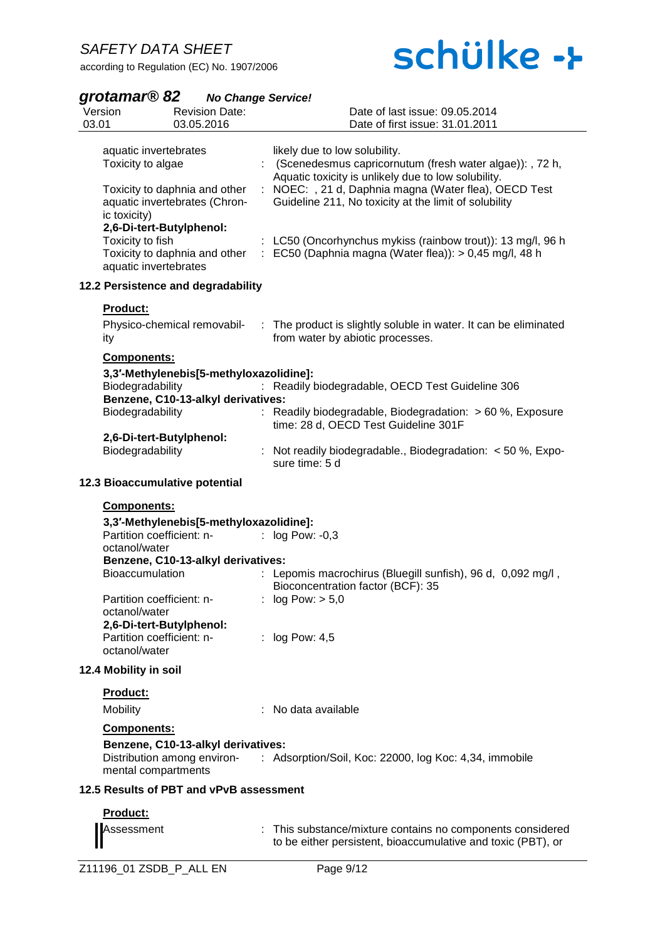# schülke ->

### *grotamar® 82 No Change Service!*

| 03.01 | Version                                                                                                                                                                                                                                | <b>Revision Date:</b><br>03.05.2016                                           | Date of last issue: 09.05.2014<br>Date of first issue: 31.01.2011                                                                                                                                                                                                                                                                                                                             |
|-------|----------------------------------------------------------------------------------------------------------------------------------------------------------------------------------------------------------------------------------------|-------------------------------------------------------------------------------|-----------------------------------------------------------------------------------------------------------------------------------------------------------------------------------------------------------------------------------------------------------------------------------------------------------------------------------------------------------------------------------------------|
|       | aquatic invertebrates<br>Toxicity to algae<br>Toxicity to daphnia and other<br>aquatic invertebrates (Chron-<br>ic toxicity)<br>2,6-Di-tert-Butylphenol:<br>Toxicity to fish<br>Toxicity to daphnia and other<br>aquatic invertebrates | ÷.                                                                            | likely due to low solubility.<br>: (Scenedesmus capricornutum (fresh water algae)): , 72 h,<br>Aquatic toxicity is unlikely due to low solubility.<br>NOEC: , 21 d, Daphnia magna (Water flea), OECD Test<br>Guideline 211, No toxicity at the limit of solubility<br>: LC50 (Oncorhynchus mykiss (rainbow trout)): 13 mg/l, 96 h<br>: EC50 (Daphnia magna (Water flea)): $> 0,45$ mg/l, 48 h |
|       |                                                                                                                                                                                                                                        | 12.2 Persistence and degradability                                            |                                                                                                                                                                                                                                                                                                                                                                                               |
|       | <b>Product:</b><br>Physico-chemical removabil-<br>ity                                                                                                                                                                                  |                                                                               | : The product is slightly soluble in water. It can be eliminated<br>from water by abiotic processes.                                                                                                                                                                                                                                                                                          |
|       | <b>Components:</b><br>Biodegradability<br>Biodegradability<br>2,6-Di-tert-Butylphenol:                                                                                                                                                 | 3,3'-Methylenebis[5-methyloxazolidine]:<br>Benzene, C10-13-alkyl derivatives: | Readily biodegradable, OECD Test Guideline 306<br>Readily biodegradable, Biodegradation: > 60 %, Exposure<br>time: 28 d, OECD Test Guideline 301F                                                                                                                                                                                                                                             |
|       | Biodegradability                                                                                                                                                                                                                       |                                                                               | : Not readily biodegradable., Biodegradation: $<$ 50 %, Expo-<br>sure time: 5 d                                                                                                                                                                                                                                                                                                               |
|       | 12.3 Bioaccumulative potential                                                                                                                                                                                                         |                                                                               |                                                                                                                                                                                                                                                                                                                                                                                               |
|       | <b>Components:</b><br>Partition coefficient: n-<br>octanol/water<br>Bioaccumulation<br>Partition coefficient: n-<br>octanol/water<br>2,6-Di-tert-Butylphenol:<br>Partition coefficient: n-<br>octanol/water                            | 3,3'-Methylenebis[5-methyloxazolidine]:<br>Benzene, C10-13-alkyl derivatives: | : $log Pow: -0, 3$<br>Lepomis macrochirus (Bluegill sunfish), 96 d, 0,092 mg/l,<br>Bioconcentration factor (BCF): 35<br>log Pow: > 5,0<br>: $log Pow: 4.5$                                                                                                                                                                                                                                    |
|       | 12.4 Mobility in soil                                                                                                                                                                                                                  |                                                                               |                                                                                                                                                                                                                                                                                                                                                                                               |
|       | Product:<br>Mobility                                                                                                                                                                                                                   |                                                                               | : No data available                                                                                                                                                                                                                                                                                                                                                                           |
|       | <b>Components:</b><br>mental compartments                                                                                                                                                                                              | Benzene, C10-13-alkyl derivatives:                                            | Distribution among environ- : Adsorption/Soil, Koc: 22000, log Koc: 4,34, immobile                                                                                                                                                                                                                                                                                                            |
|       |                                                                                                                                                                                                                                        | 12.5 Results of PBT and vPvB assessment                                       |                                                                                                                                                                                                                                                                                                                                                                                               |
|       | Product:<br>Assessment                                                                                                                                                                                                                 |                                                                               | : This substance/mixture contains no components considered<br>to be either persistent, bioaccumulative and toxic (PBT), or                                                                                                                                                                                                                                                                    |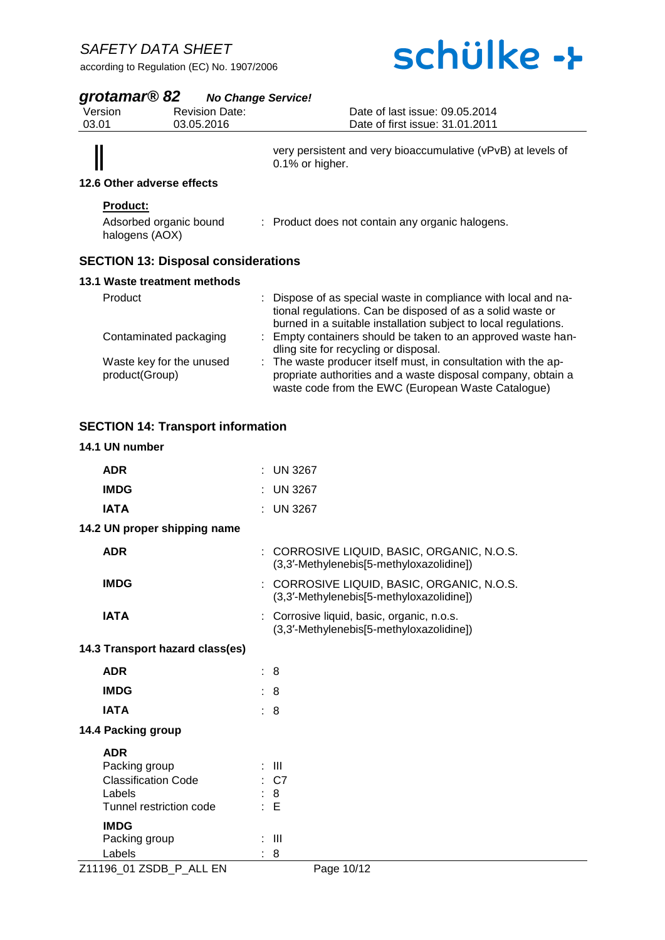according to Regulation (EC) No. 1907/2006

# schülke ->

### *grotamar® 82 No Change Service!*

| grotamar <sup>®</sup> 82 |                                            | <b>No Change Service!</b>                                                                                                                                                                       |
|--------------------------|--------------------------------------------|-------------------------------------------------------------------------------------------------------------------------------------------------------------------------------------------------|
| Version                  | <b>Revision Date:</b>                      | Date of last issue: 09.05.2014                                                                                                                                                                  |
| 03.01                    | 03.05.2016                                 | Date of first issue: 31.01.2011                                                                                                                                                                 |
|                          | 12.6 Other adverse effects                 | very persistent and very bioaccumulative (vPvB) at levels of<br>0.1% or higher.                                                                                                                 |
|                          |                                            |                                                                                                                                                                                                 |
| <b>Product:</b>          |                                            |                                                                                                                                                                                                 |
|                          | Adsorbed organic bound<br>halogens (AOX)   | : Product does not contain any organic halogens.                                                                                                                                                |
|                          | <b>SECTION 13: Disposal considerations</b> |                                                                                                                                                                                                 |
|                          | 13.1 Waste treatment methods               |                                                                                                                                                                                                 |
| Product                  |                                            | : Dispose of as special waste in compliance with local and na-<br>tional regulations. Can be disposed of as a solid waste or<br>burned in a suitable installation subject to local regulations. |
|                          | Contaminated packaging                     | : Empty containers should be taken to an approved waste han-                                                                                                                                    |

|                          | dling site for recycling or disposal.                          |
|--------------------------|----------------------------------------------------------------|
| Waste key for the unused | : The waste producer itself must, in consultation with the ap- |
| product(Group)           | propriate authorities and a waste disposal company, obtain a   |
|                          | waste code from the EWC (European Waste Catalogue)             |

## **SECTION 14: Transport information**

### **14.1 UN number**

| <b>ADR</b>                      | $:$ UN 3267                                                                               |  |
|---------------------------------|-------------------------------------------------------------------------------------------|--|
| <b>IMDG</b>                     | <b>UN 3267</b>                                                                            |  |
| <b>IATA</b>                     | <b>UN 3267</b>                                                                            |  |
| 14.2 UN proper shipping name    |                                                                                           |  |
| <b>ADR</b>                      | CORROSIVE LIQUID, BASIC, ORGANIC, N.O.S.<br>÷<br>(3,3'-Methylenebis[5-methyloxazolidine]) |  |
| <b>IMDG</b>                     | : CORROSIVE LIQUID, BASIC, ORGANIC, N.O.S.<br>(3,3'-Methylenebis[5-methyloxazolidine])    |  |
| <b>IATA</b>                     | : Corrosive liquid, basic, organic, n.o.s.<br>(3,3'-Methylenebis[5-methyloxazolidine])    |  |
| 14.3 Transport hazard class(es) |                                                                                           |  |
| <b>ADR</b>                      | : 8                                                                                       |  |
| <b>IMDG</b>                     | $\therefore$ 8                                                                            |  |
| <b>IATA</b>                     | : 8                                                                                       |  |
| 14.4 Packing group              |                                                                                           |  |
| <b>ADR</b>                      |                                                                                           |  |
| Packing group                   | : III                                                                                     |  |
| <b>Classification Code</b>      | $\therefore$ C7                                                                           |  |
| Labels                          | 8                                                                                         |  |
| Tunnel restriction code         | : E                                                                                       |  |
| <b>IMDG</b>                     |                                                                                           |  |
| Packing group                   | -III                                                                                      |  |
| Labels                          | 8                                                                                         |  |
| Z11196_01 ZSDB_P_ALL EN         | Page 10/12                                                                                |  |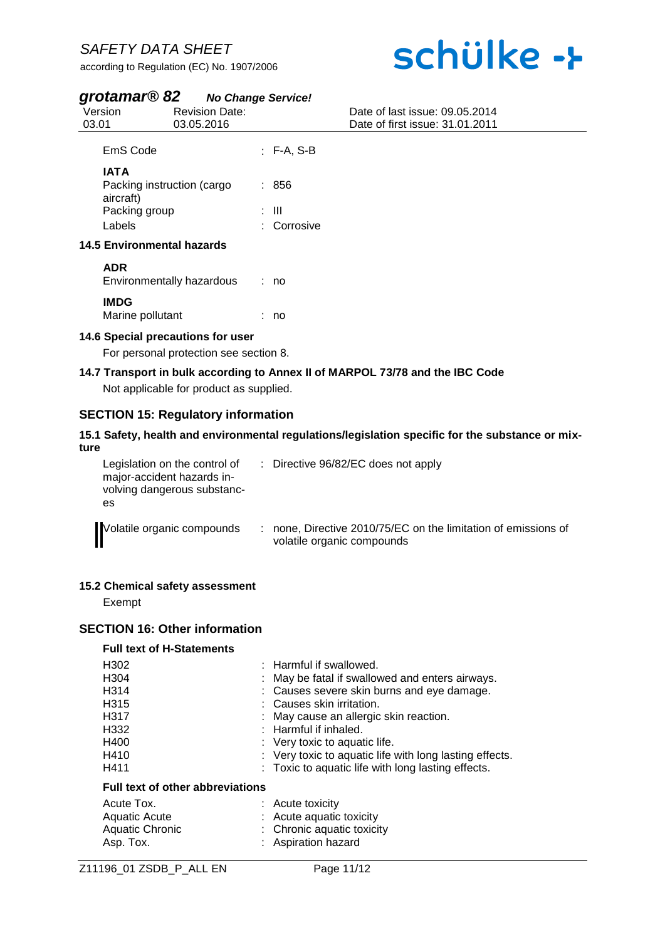according to Regulation (EC) No. 1907/2006

# schülke ->

## *grotamar® 82 No Change Service!*

| 03.01 | Version                                                                           | <b>Revision Date:</b><br>03.05.2016                                         |                             | Date of last issue: 09.05.2014<br>Date of first issue: 31.01.2011             |
|-------|-----------------------------------------------------------------------------------|-----------------------------------------------------------------------------|-----------------------------|-------------------------------------------------------------------------------|
|       | EmS Code                                                                          |                                                                             | $:$ F-A, S-B                |                                                                               |
|       | <b>IATA</b><br>Packing instruction (cargo<br>aircraft)<br>Packing group<br>Labels |                                                                             | : 856<br>: III<br>Corrosive |                                                                               |
|       | <b>14.5 Environmental hazards</b>                                                 |                                                                             |                             |                                                                               |
|       | <b>ADR</b>                                                                        | Environmentally hazardous                                                   | : no                        |                                                                               |
|       | <b>IMDG</b><br>Marine pollutant                                                   |                                                                             | : no                        |                                                                               |
|       |                                                                                   | 14.6 Special precautions for user<br>For personal protection see section 8. |                             |                                                                               |
|       |                                                                                   | Not applicable for product as supplied.                                     |                             | 14.7 Transport in bulk according to Annex II of MARPOL 73/78 and the IBC Code |

## **SECTION 15: Regulatory information**

#### **15.1 Safety, health and environmental regulations/legislation specific for the substance or mixture**

| Legislation on the control of<br>major-accident hazards in-<br>volving dangerous substanc-<br>es | : Directive 96/82/EC does not apply                                                          |  |
|--------------------------------------------------------------------------------------------------|----------------------------------------------------------------------------------------------|--|
| Volatile organic compounds                                                                       | : none, Directive 2010/75/EC on the limitation of emissions of<br>volatile organic compounds |  |

#### **15.2 Chemical safety assessment**

Exempt

## **SECTION 16: Other information**

#### **Full text of H-Statements**

| H302                             | : Harmful if swallowed.                                 |
|----------------------------------|---------------------------------------------------------|
| H304                             | : May be fatal if swallowed and enters airways.         |
| H314                             | : Causes severe skin burns and eye damage.              |
| H315                             | : Causes skin irritation.                               |
| H317                             | : May cause an allergic skin reaction.                  |
| H332                             | : Harmful if inhaled.                                   |
| H400                             | : Very toxic to aquatic life.                           |
| H410                             | : Very toxic to aquatic life with long lasting effects. |
| H411                             | : Toxic to aquatic life with long lasting effects.      |
| Full text of other abbreviations |                                                         |

| Acute Tox.<br>Aquatic Acute  | $:$ Acute toxicity<br>: Acute aquatic toxicity    |
|------------------------------|---------------------------------------------------|
| Aquatic Chronic<br>Asp. Tox. | : Chronic aquatic toxicity<br>: Aspiration hazard |